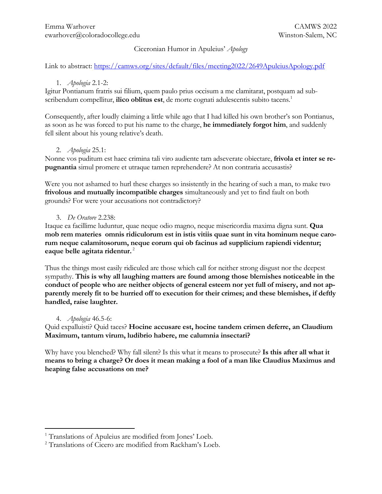# Ciceronian Humor in Apuleius' *Apology*

Link to abstract: https://camws.org/sites/default/files/meeting2022/2649ApuleiusApology.pdf

# 1. *Apologia* 2.1-2:

Igitur Pontianum fratris sui filium, quem paulo prius occisum a me clamitarat, postquam ad subscribendum compellitur, **ilico oblitus est**, de morte cognati adulescentis subito tacens.<sup>1</sup>

Consequently, after loudly claiming a little while ago that I had killed his own brother's son Pontianus, as soon as he was forced to put his name to the charge, **he immediately forgot him**, and suddenly fell silent about his young relative's death.

#### 2. *Apologia* 25.1:

Nonne vos puditum est haec crimina tali viro audiente tam adseverate obiectare, **frivola et inter se repugnantia** simul promere et utraque tamen reprehendere? At non contraria accusastis?

Were you not ashamed to hurl these charges so insistently in the hearing of such a man, to make two **frivolous and mutually incompatible charges** simultaneously and yet to find fault on both grounds? For were your accusations not contradictory?

#### 3. *De Oratore* 2.238:

Itaque ea facillime luduntur, quae neque odio magno, neque misericordia maxima digna sunt. **Qua mob rem materies omnis ridiculorum est in istis vitiis quae sunt in vita hominum neque carorum neque calamitosorum, neque eorum qui ob facinus ad supplicium rapiendi videntur; eaque belle agitata ridentur.** <sup>2</sup>

Thus the things most easily ridiculed are those which call for neither strong disgust nor the deepest sympathy. **This is why all laughing matters are found among those blemishes noticeable in the conduct of people who are neither objects of general esteem nor yet full of misery, and not apparently merely fit to be hurried off to execution for their crimes; and these blemishes, if deftly handled, raise laughter.**

# 4. *Apologia* 46.5-6:

Quid expalluisti? Quid taces? **Hocine accusare est, hocine tandem crimen deferre, an Claudium Maximum, tantum virum, ludibrio habere, me calumnia insectari?**

Why have you blenched? Why fall silent? Is this what it means to prosecute? **Is this after all what it means to bring a charge? Or does it mean making a fool of a man like Claudius Maximus and heaping false accusations on me?**

<sup>&</sup>lt;sup>1</sup> Translations of Apuleius are modified from Jones' Loeb.

<sup>2</sup> Translations of Cicero are modified from Rackham's Loeb.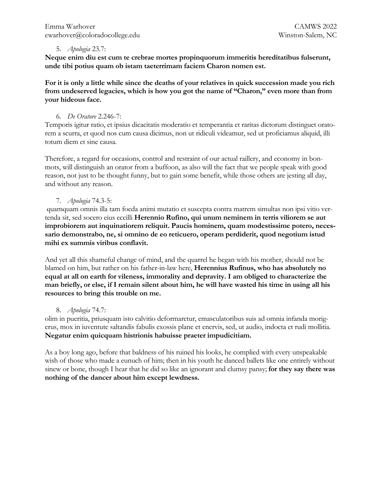### 5. *Apologia* 23.7:

**Neque enim diu est cum te crebrae mortes propinquorum immeritis hereditatibus fulserunt, unde tibi potius quam ob istam taeterrimam faciem Charon nomen est.**

**For it is only a little while since the deaths of your relatives in quick succession made you rich from undeserved legacies, which is how you got the name of "Charon," even more than from your hideous face.**

### 6. *De Oratore* 2.246-7:

Temporis igitur ratio, et ipsius dicacitatis moderatio et temperantia et raritas dictorum distinguet oratorem a scurra, et quod nos cum causa dicimus, non ut ridiculi videamur, sed ut proficiamus aliquid, illi totum diem et sine causa.

Therefore, a regard for occasions, control and restraint of our actual raillery, and economy in bonmots, will distinguish an orator from a buffoon, as also will the fact that we people speak with good reason, not just to be thought funny, but to gain some benefit, while those others are jesting all day, and without any reason.

# 7. *Apologia* 74.3-5:

quamquam omnis illa tam foeda animi mutatio et suscepta contra matrem simultas non ipsi vitio vertenda sit, sed socero eius eccilli **Herennio Rufino, qui unum neminem in terris viliorem se aut improbiorem aut inquinatiorem reliquit. Paucis hominem, quam modestissime potero, necessario demonstrabo, ne, si omnino de eo reticuero, operam perdiderit, quod negotium istud mihi ex summis viribus conflavit.**

And yet all this shameful change of mind, and the quarrel he began with his mother, should not be blamed on him, but rather on his father-in-law here, **Herennius Rufinus, who has absolutely no equal at all on earth for vileness, immorality and depravity. I am obliged to characterize the man briefly, or else, if I remain silent about him, he will have wasted his time in using all his resources to bring this trouble on me.**

# 8. *Apologia* 74.7:

olim in pueritia, priusquam isto calvitio deformaretur, emasculatoribus suis ad omnia infanda morigerus, mox in iuventute saltandis fabulis exossis plane et enervis, sed, ut audio, indocta et rudi mollitia. **Negatur enim quicquam histrionis habuisse praeter impudicitiam.**

As a boy long ago, before that baldness of his ruined his looks, he complied with every unspeakable wish of those who made a eunuch of him; then in his youth he danced ballets like one entirely without sinew or bone, though I hear that he did so like an ignorant and clumsy pansy; **for they say there was nothing of the dancer about him except lewdness.**